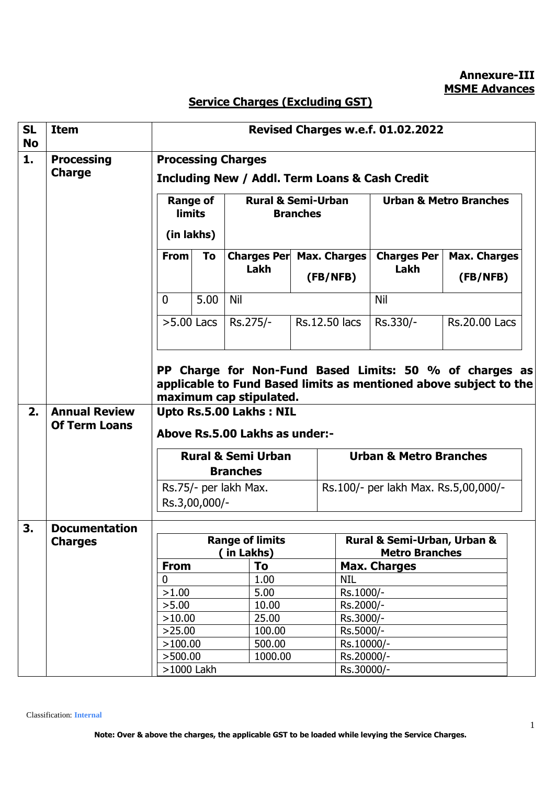**Annexure-III MSME Advances**

## **Service Charges (Excluding GST)**

| <b>SL</b><br><b>No</b>                                  | <b>Item</b>          | Revised Charges w.e.f. 01.02.2022                         |                                          |                         |                                              |                                            |                                                                   |  |
|---------------------------------------------------------|----------------------|-----------------------------------------------------------|------------------------------------------|-------------------------|----------------------------------------------|--------------------------------------------|-------------------------------------------------------------------|--|
| 1.                                                      | <b>Processing</b>    | <b>Processing Charges</b>                                 |                                          |                         |                                              |                                            |                                                                   |  |
|                                                         | <b>Charge</b>        | <b>Including New / Addl. Term Loans &amp; Cash Credit</b> |                                          |                         |                                              |                                            |                                                                   |  |
|                                                         |                      | <b>Range of</b>                                           |                                          |                         | <b>Rural &amp; Semi-Urban</b>                | <b>Urban &amp; Metro Branches</b>          |                                                                   |  |
|                                                         |                      | <b>limits</b>                                             |                                          | <b>Branches</b>         |                                              |                                            |                                                                   |  |
|                                                         |                      | (in lakhs)                                                |                                          |                         |                                              |                                            |                                                                   |  |
|                                                         |                      | <b>From</b>                                               | To                                       |                         | Charges Per Max. Charges                     | <b>Charges Per</b>                         | <b>Max. Charges</b>                                               |  |
|                                                         |                      |                                                           |                                          | Lakh                    | (FB/NFB)                                     | Lakh                                       | (FB/NFB)                                                          |  |
|                                                         |                      | $\mathbf{0}$                                              | 5.00                                     | Nil                     |                                              | Nil                                        |                                                                   |  |
|                                                         |                      |                                                           | $>5.00$ Lacs                             | Rs.275/-                | <b>Rs.12.50 lacs</b>                         | Rs.330/-                                   | <b>Rs.20.00 Lacs</b>                                              |  |
|                                                         |                      |                                                           |                                          |                         |                                              |                                            |                                                                   |  |
| PP Charge for Non-Fund Based Limits: 50 % of charges as |                      |                                                           |                                          |                         |                                              |                                            |                                                                   |  |
|                                                         |                      |                                                           |                                          | maximum cap stipulated. |                                              |                                            | applicable to Fund Based limits as mentioned above subject to the |  |
| 2.                                                      | <b>Annual Review</b> |                                                           |                                          | Upto Rs.5.00 Lakhs: NIL |                                              |                                            |                                                                   |  |
|                                                         | <b>Of Term Loans</b> | Above Rs.5.00 Lakhs as under:-                            |                                          |                         |                                              |                                            |                                                                   |  |
|                                                         |                      | <b>Rural &amp; Semi Urban</b>                             |                                          |                         |                                              | <b>Urban &amp; Metro Branches</b>          |                                                                   |  |
|                                                         |                      |                                                           | <b>Branches</b><br>Rs.75/- per lakh Max. |                         |                                              |                                            |                                                                   |  |
|                                                         |                      |                                                           |                                          |                         |                                              | Rs.100/- per lakh Max. Rs.5,00,000/-       |                                                                   |  |
|                                                         |                      |                                                           | Rs.3,00,000/-                            |                         |                                              |                                            |                                                                   |  |
| 3.                                                      | <b>Documentation</b> |                                                           |                                          |                         |                                              |                                            |                                                                   |  |
|                                                         | <b>Charges</b>       |                                                           |                                          | <b>Range of limits</b>  |                                              | <b>Rural &amp; Semi-Urban, Urban &amp;</b> |                                                                   |  |
|                                                         |                      | (in Lakhs)<br>To<br><b>From</b>                           |                                          |                         | <b>Metro Branches</b><br><b>Max. Charges</b> |                                            |                                                                   |  |
|                                                         |                      | 0                                                         |                                          | 1.00                    | NIL                                          |                                            |                                                                   |  |
|                                                         |                      | >1.00                                                     |                                          | 5.00                    | Rs.1000/-                                    |                                            |                                                                   |  |
|                                                         |                      | >5.00                                                     |                                          | 10.00                   | Rs.2000/-                                    |                                            |                                                                   |  |
|                                                         |                      | >10.00                                                    |                                          | 25.00                   | Rs.3000/-                                    |                                            |                                                                   |  |
|                                                         |                      | >25.00                                                    |                                          | 100.00                  | Rs.5000/-                                    |                                            |                                                                   |  |
|                                                         |                      | >100.00                                                   |                                          | 500.00                  |                                              | Rs.10000/-                                 |                                                                   |  |
|                                                         |                      | >500.00                                                   |                                          | 1000.00                 |                                              | Rs.20000/-                                 |                                                                   |  |
|                                                         |                      | >1000 Lakh                                                |                                          |                         |                                              | Rs.30000/-                                 |                                                                   |  |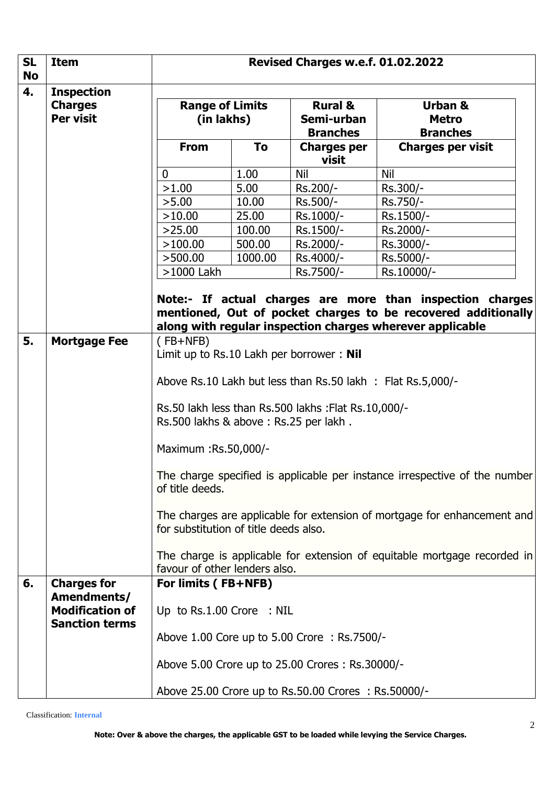| <b>SL</b><br><b>No</b> | <b>Item</b>                                      | Revised Charges w.e.f. 01.02.2022                                                                                                                                                       |         |                                                     |                                            |  |
|------------------------|--------------------------------------------------|-----------------------------------------------------------------------------------------------------------------------------------------------------------------------------------------|---------|-----------------------------------------------------|--------------------------------------------|--|
| 4.                     | <b>Inspection</b><br><b>Charges</b><br>Per visit | <b>Range of Limits</b><br>(in lakhs)                                                                                                                                                    |         | <b>Rural &amp;</b><br>Semi-urban<br><b>Branches</b> | Urban &<br><b>Metro</b><br><b>Branches</b> |  |
|                        |                                                  | <b>From</b>                                                                                                                                                                             | To      | <b>Charges per</b><br>visit                         | <b>Charges per visit</b>                   |  |
|                        |                                                  | 0                                                                                                                                                                                       | 1.00    | <b>Nil</b>                                          | <b>Nil</b>                                 |  |
|                        |                                                  | >1.00                                                                                                                                                                                   | 5.00    | Rs.200/-                                            | Rs.300/-                                   |  |
|                        |                                                  | >5.00                                                                                                                                                                                   | 10.00   | Rs.500/-                                            | Rs.750/-                                   |  |
|                        |                                                  | >10.00                                                                                                                                                                                  | 25.00   | Rs.1000/-                                           | Rs.1500/-                                  |  |
|                        |                                                  | >25.00                                                                                                                                                                                  | 100.00  | Rs.1500/-                                           | Rs.2000/-                                  |  |
|                        |                                                  | >100.00                                                                                                                                                                                 | 500.00  | Rs.2000/-                                           | Rs.3000/-                                  |  |
|                        |                                                  | >500.00                                                                                                                                                                                 | 1000.00 | Rs.4000/-                                           | Rs.5000/-                                  |  |
|                        |                                                  | $>1000$ Lakh                                                                                                                                                                            |         | Rs.7500/-                                           | Rs.10000/-                                 |  |
|                        |                                                  | Note:- If actual charges are more than inspection charges<br>mentioned, Out of pocket charges to be recovered additionally<br>along with regular inspection charges wherever applicable |         |                                                     |                                            |  |
| 5.                     | <b>Mortgage Fee</b>                              | $(FB+NFB)$<br>Limit up to Rs.10 Lakh per borrower: Nil                                                                                                                                  |         |                                                     |                                            |  |
|                        |                                                  | Above Rs.10 Lakh but less than Rs.50 lakh : Flat Rs.5,000/-                                                                                                                             |         |                                                     |                                            |  |
|                        |                                                  | Rs.50 lakh less than Rs.500 lakhs : Flat Rs.10,000/-<br>Rs.500 lakhs & above: Rs.25 per lakh.                                                                                           |         |                                                     |                                            |  |
|                        |                                                  | Maximum : Rs.50,000/-                                                                                                                                                                   |         |                                                     |                                            |  |
|                        |                                                  | The charge specified is applicable per instance irrespective of the number<br>of title deeds.                                                                                           |         |                                                     |                                            |  |
|                        |                                                  | The charges are applicable for extension of mortgage for enhancement and<br>for substitution of title deeds also.                                                                       |         |                                                     |                                            |  |
|                        |                                                  | The charge is applicable for extension of equitable mortgage recorded in<br>favour of other lenders also.                                                                               |         |                                                     |                                            |  |
| 6.                     | <b>Charges for</b>                               | For limits (FB+NFB)                                                                                                                                                                     |         |                                                     |                                            |  |
|                        | Amendments/<br><b>Modification of</b>            | Up to Rs.1.00 Crore : NIL                                                                                                                                                               |         |                                                     |                                            |  |
|                        | <b>Sanction terms</b>                            | Above 1.00 Core up to 5.00 Crore : Rs.7500/-                                                                                                                                            |         |                                                     |                                            |  |
|                        |                                                  |                                                                                                                                                                                         |         | Above 5.00 Crore up to 25.00 Crores: Rs.30000/-     |                                            |  |
|                        |                                                  | Above 25.00 Crore up to Rs.50.00 Crores: Rs.50000/-                                                                                                                                     |         |                                                     |                                            |  |

Classification: **Internal**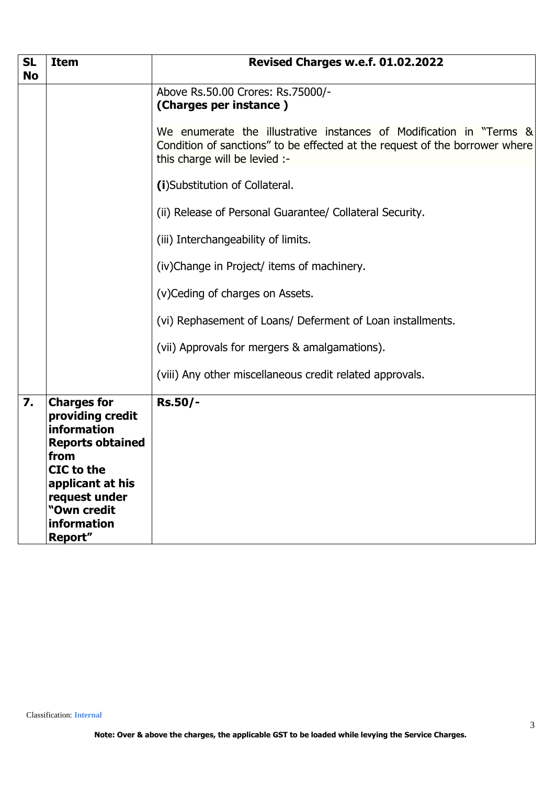| <b>SL</b><br><b>No</b> | <b>Item</b>                                                                                                                                                                          | Revised Charges w.e.f. 01.02.2022                                                                                                                                                   |  |  |  |
|------------------------|--------------------------------------------------------------------------------------------------------------------------------------------------------------------------------------|-------------------------------------------------------------------------------------------------------------------------------------------------------------------------------------|--|--|--|
|                        |                                                                                                                                                                                      | Above Rs.50.00 Crores: Rs.75000/-<br>(Charges per instance)                                                                                                                         |  |  |  |
|                        |                                                                                                                                                                                      | We enumerate the illustrative instances of Modification in "Terms &<br>Condition of sanctions" to be effected at the request of the borrower where<br>this charge will be levied :- |  |  |  |
|                        |                                                                                                                                                                                      | (i)Substitution of Collateral.                                                                                                                                                      |  |  |  |
|                        |                                                                                                                                                                                      | (ii) Release of Personal Guarantee/ Collateral Security.                                                                                                                            |  |  |  |
|                        |                                                                                                                                                                                      | (iii) Interchangeability of limits.                                                                                                                                                 |  |  |  |
|                        |                                                                                                                                                                                      | (iv)Change in Project/ items of machinery.                                                                                                                                          |  |  |  |
|                        |                                                                                                                                                                                      | (v) Ceding of charges on Assets.                                                                                                                                                    |  |  |  |
|                        |                                                                                                                                                                                      | (vi) Rephasement of Loans/ Deferment of Loan installments.                                                                                                                          |  |  |  |
|                        |                                                                                                                                                                                      | (vii) Approvals for mergers & amalgamations).                                                                                                                                       |  |  |  |
|                        |                                                                                                                                                                                      | (viii) Any other miscellaneous credit related approvals.                                                                                                                            |  |  |  |
| 7.                     | <b>Charges for</b><br>providing credit<br>information<br><b>Reports obtained</b><br>from<br>CIC to the<br>applicant at his<br>request under<br>"Own credit<br>information<br>Report" | <b>Rs.50/-</b>                                                                                                                                                                      |  |  |  |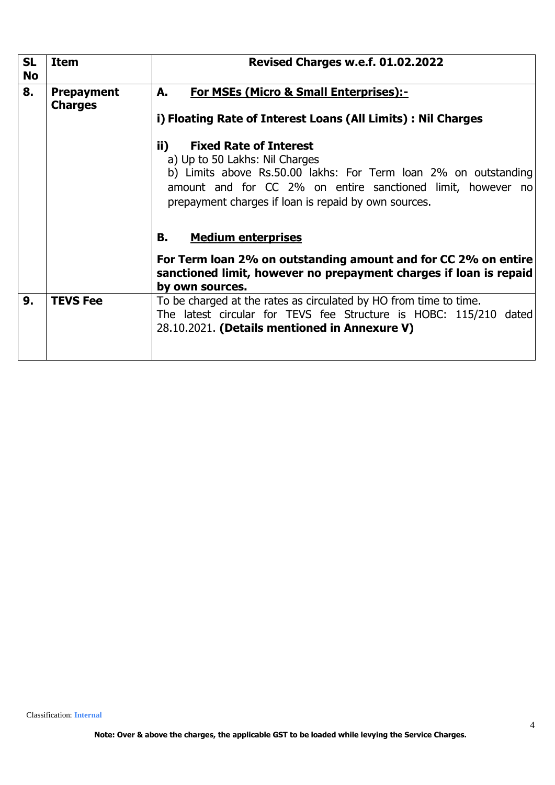| <b>SL</b><br><b>No</b> | <b>Item</b>                         | Revised Charges w.e.f. 01.02.2022                                                                                                                                                       |  |  |  |  |
|------------------------|-------------------------------------|-----------------------------------------------------------------------------------------------------------------------------------------------------------------------------------------|--|--|--|--|
| 8.                     | <b>Prepayment</b><br><b>Charges</b> | <b>For MSEs (Micro &amp; Small Enterprises):-</b><br>А.                                                                                                                                 |  |  |  |  |
|                        |                                     | i) Floating Rate of Interest Loans (All Limits) : Nil Charges                                                                                                                           |  |  |  |  |
|                        |                                     | ii)<br><b>Fixed Rate of Interest</b><br>a) Up to 50 Lakhs: Nil Charges                                                                                                                  |  |  |  |  |
|                        |                                     | b) Limits above Rs.50.00 lakhs: For Term loan 2% on outstanding<br>amount and for CC 2% on entire sanctioned limit, however no<br>prepayment charges if loan is repaid by own sources.  |  |  |  |  |
|                        |                                     | <b>Medium enterprises</b><br>В.                                                                                                                                                         |  |  |  |  |
|                        |                                     | For Term loan 2% on outstanding amount and for CC 2% on entire<br>sanctioned limit, however no prepayment charges if loan is repaid<br>by own sources.                                  |  |  |  |  |
| 9.                     | <b>TEVS Fee</b>                     | To be charged at the rates as circulated by HO from time to time.<br>The latest circular for TEVS fee Structure is HOBC: 115/210 dated<br>28.10.2021. (Details mentioned in Annexure V) |  |  |  |  |
|                        |                                     |                                                                                                                                                                                         |  |  |  |  |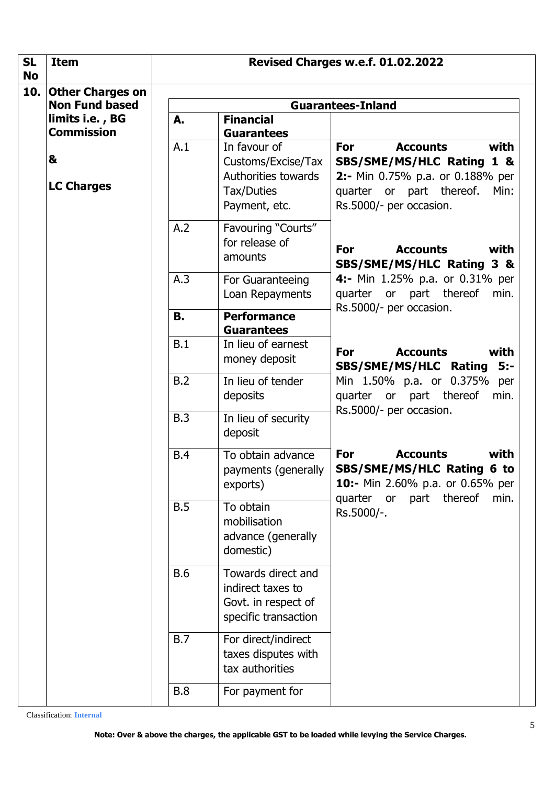| <b>SL</b>        | <b>Item</b>                                                    | Revised Charges w.e.f. 01.02.2022 |                                                                                          |                                                                                                                                                                   |  |
|------------------|----------------------------------------------------------------|-----------------------------------|------------------------------------------------------------------------------------------|-------------------------------------------------------------------------------------------------------------------------------------------------------------------|--|
| <b>No</b><br>10. | <b>Other Charges on</b>                                        |                                   |                                                                                          |                                                                                                                                                                   |  |
|                  | <b>Non Fund based</b>                                          | <b>Guarantees-Inland</b>          |                                                                                          |                                                                                                                                                                   |  |
|                  | limits i.e., BG<br><b>Commission</b><br>&<br><b>LC Charges</b> | A.                                | <b>Financial</b><br><b>Guarantees</b>                                                    |                                                                                                                                                                   |  |
|                  |                                                                | A.1                               | In favour of<br>Customs/Excise/Tax<br>Authorities towards<br>Tax/Duties<br>Payment, etc. | For<br>with<br><b>Accounts</b><br>SBS/SME/MS/HLC Rating 1 &<br>2:- Min 0.75% p.a. or 0.188% per<br>or part thereof.<br>quarter<br>Min:<br>Rs.5000/- per occasion. |  |
|                  |                                                                | A.2                               | Favouring "Courts"<br>for release of<br>amounts                                          | <b>Accounts</b><br>For<br>with<br>SBS/SME/MS/HLC Rating 3 &                                                                                                       |  |
|                  |                                                                | A.3                               | For Guaranteeing<br>Loan Repayments                                                      | 4:- Min 1.25% p.a. or 0.31% per<br>quarter or part thereof<br>min.                                                                                                |  |
|                  |                                                                | В.                                | <b>Performance</b><br><b>Guarantees</b>                                                  | Rs.5000/- per occasion.                                                                                                                                           |  |
|                  |                                                                | B.1                               | In lieu of earnest<br>money deposit                                                      | For<br><b>Accounts</b><br>with<br>SBS/SME/MS/HLC Rating 5:-                                                                                                       |  |
|                  |                                                                | B.2                               | In lieu of tender<br>deposits                                                            | Min 1.50% p.a. or 0.375%<br>per<br>quarter or part thereof<br>min.<br>Rs.5000/- per occasion.                                                                     |  |
|                  |                                                                | B.3                               | In lieu of security<br>deposit                                                           |                                                                                                                                                                   |  |
|                  |                                                                | <b>B.4</b>                        | To obtain advance<br>payments (generally<br>exports)                                     | For<br><b>Accounts</b><br>with<br>SBS/SME/MS/HLC Rating 6 to<br>10:- Min 2.60% p.a. or 0.65% per<br>quarter or part thereof<br>min.                               |  |
|                  |                                                                | B.5                               | To obtain<br>mobilisation<br>advance (generally<br>domestic)                             | Rs.5000/-.                                                                                                                                                        |  |
|                  |                                                                | <b>B.6</b>                        | Towards direct and<br>indirect taxes to<br>Govt. in respect of<br>specific transaction   |                                                                                                                                                                   |  |
|                  |                                                                | <b>B.7</b>                        | For direct/indirect<br>taxes disputes with<br>tax authorities                            |                                                                                                                                                                   |  |
|                  |                                                                | <b>B.8</b>                        | For payment for                                                                          |                                                                                                                                                                   |  |

Classification: **Internal**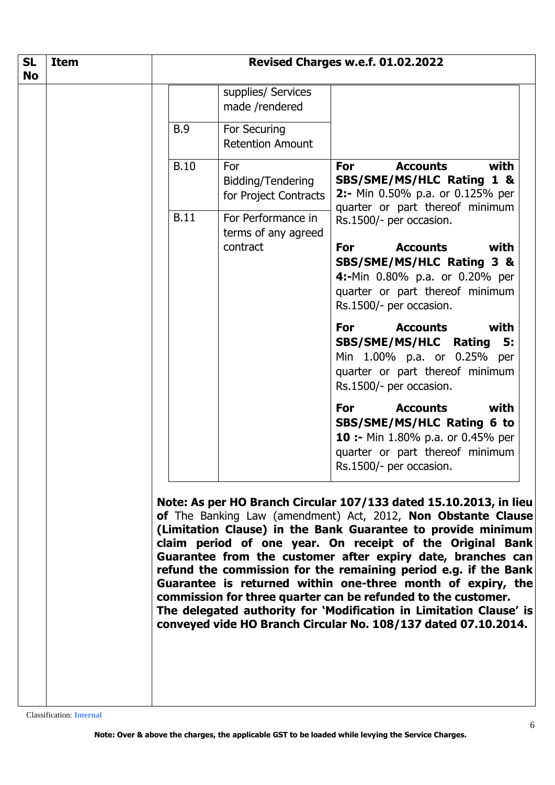| <b>SL</b><br><b>No</b> | <b>Item</b> | Revised Charges w.e.f. 01.02.2022 |                                                   |                                                                                                                                                                                                                                                                                                                                                                                                                                                                                                                                                                                                                                                                           |
|------------------------|-------------|-----------------------------------|---------------------------------------------------|---------------------------------------------------------------------------------------------------------------------------------------------------------------------------------------------------------------------------------------------------------------------------------------------------------------------------------------------------------------------------------------------------------------------------------------------------------------------------------------------------------------------------------------------------------------------------------------------------------------------------------------------------------------------------|
|                        |             |                                   | supplies/ Services<br>made /rendered              |                                                                                                                                                                                                                                                                                                                                                                                                                                                                                                                                                                                                                                                                           |
|                        |             | <b>B.9</b>                        | For Securing<br><b>Retention Amount</b>           |                                                                                                                                                                                                                                                                                                                                                                                                                                                                                                                                                                                                                                                                           |
|                        |             | <b>B.10</b>                       | For<br>Bidding/Tendering<br>for Project Contracts | <b>Accounts</b><br><b>For</b><br>with<br>SBS/SME/MS/HLC Rating 1 &<br>2:- Min 0.50% p.a. or 0.125% per<br>quarter or part thereof minimum                                                                                                                                                                                                                                                                                                                                                                                                                                                                                                                                 |
|                        |             | <b>B.11</b>                       | For Performance in<br>terms of any agreed         | Rs.1500/- per occasion.                                                                                                                                                                                                                                                                                                                                                                                                                                                                                                                                                                                                                                                   |
|                        |             |                                   | contract                                          | <b>Accounts</b><br>with<br><b>For</b><br>SBS/SME/MS/HLC Rating 3 &<br>4:-Min 0.80% p.a. or 0.20% per<br>quarter or part thereof minimum<br>Rs.1500/- per occasion.                                                                                                                                                                                                                                                                                                                                                                                                                                                                                                        |
|                        |             |                                   |                                                   | <b>Accounts</b><br>For<br>with<br>SBS/SME/MS/HLC Rating<br>5:<br>Min 1.00% p.a. or 0.25% per<br>quarter or part thereof minimum<br>Rs.1500/- per occasion.                                                                                                                                                                                                                                                                                                                                                                                                                                                                                                                |
|                        |             |                                   |                                                   | with<br><b>Accounts</b><br>For<br>SBS/SME/MS/HLC Rating 6 to<br><b>10 :-</b> Min 1.80% p.a. or 0.45% per<br>quarter or part thereof minimum<br>Rs.1500/- per occasion.                                                                                                                                                                                                                                                                                                                                                                                                                                                                                                    |
|                        |             |                                   |                                                   | Note: As per HO Branch Circular 107/133 dated 15.10.2013, in lieu<br>of The Banking Law (amendment) Act, 2012, Non Obstante Clause<br>(Limitation Clause) in the Bank Guarantee to provide minimum<br>claim period of one year. On receipt of the Original Bank<br>Guarantee from the customer after expiry date, branches can<br>refund the commission for the remaining period e.g. if the Bank<br>Guarantee is returned within one-three month of expiry, the<br>commission for three quarter can be refunded to the customer.<br>The delegated authority for 'Modification in Limitation Clause' is<br>conveyed vide HO Branch Circular No. 108/137 dated 07.10.2014. |